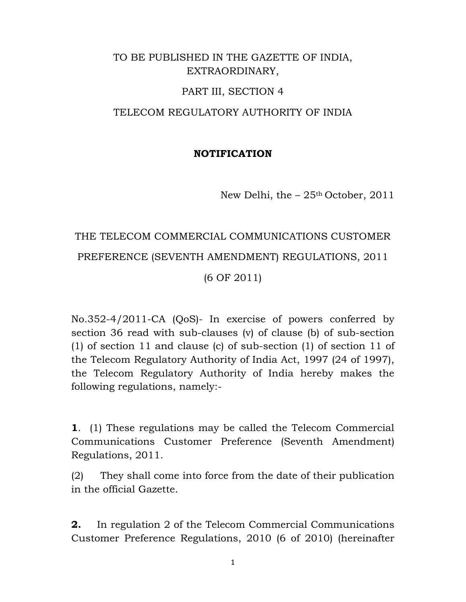## TO BE PUBLISHED IN THE GAZETTE OF INDIA, EXTRAORDINARY,

#### PART III, SECTION 4

### TELECOM REGULATORY AUTHORITY OF INDIA

#### **NOTIFICATION**

New Delhi, the  $-25<sup>th</sup>$  October, 2011

# THE TELECOM COMMERCIAL COMMUNICATIONS CUSTOMER PREFERENCE (SEVENTH AMENDMENT) REGULATIONS, 2011 (6 OF 2011)

No.352-4/2011-CA (QoS)- In exercise of powers conferred by section 36 read with sub-clauses (v) of clause (b) of sub-section (1) of section 11 and clause (c) of sub-section (1) of section 11 of the Telecom Regulatory Authority of India Act, 1997 (24 of 1997), the Telecom Regulatory Authority of India hereby makes the following regulations, namely:-

**1**. (1) These regulations may be called the Telecom Commercial Communications Customer Preference (Seventh Amendment) Regulations, 2011.

(2) They shall come into force from the date of their publication in the official Gazette.

**2.** In regulation 2 of the Telecom Commercial Communications Customer Preference Regulations, 2010 (6 of 2010) (hereinafter

1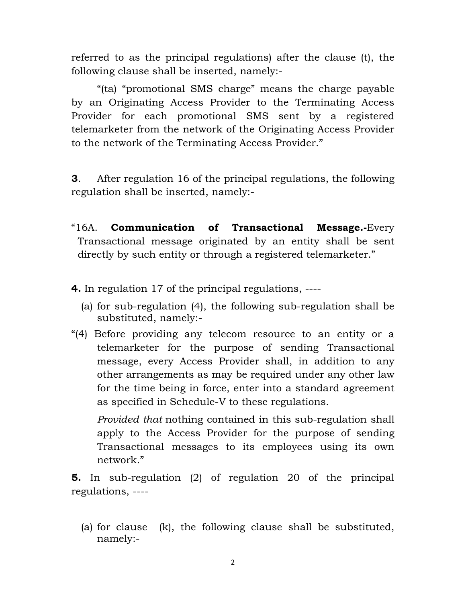referred to as the principal regulations) after the clause (t), the following clause shall be inserted, namely:-

"(ta) "promotional SMS charge" means the charge payable by an Originating Access Provider to the Terminating Access Provider for each promotional SMS sent by a registered telemarketer from the network of the Originating Access Provider to the network of the Terminating Access Provider."

**3**. After regulation 16 of the principal regulations, the following regulation shall be inserted, namely:-

- "16A. **Communication of Transactional Message.-**Every Transactional message originated by an entity shall be sent directly by such entity or through a registered telemarketer."
- **4.** In regulation 17 of the principal regulations, ----
	- (a) for sub-regulation (4), the following sub-regulation shall be substituted, namely:-
- "(4) Before providing any telecom resource to an entity or a telemarketer for the purpose of sending Transactional message, every Access Provider shall, in addition to any other arrangements as may be required under any other law for the time being in force, enter into a standard agreement as specified in Schedule-V to these regulations.

*Provided that* nothing contained in this sub-regulation shall apply to the Access Provider for the purpose of sending Transactional messages to its employees using its own network."

**5.** In sub-regulation (2) of regulation 20 of the principal regulations, ----

(a) for clause (k), the following clause shall be substituted, namely:-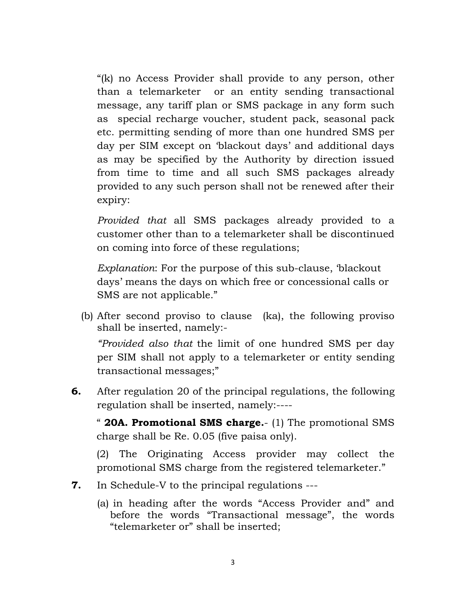"(k) no Access Provider shall provide to any person, other than a telemarketer or an entity sending transactional message, any tariff plan or SMS package in any form such as special recharge voucher, student pack, seasonal pack etc. permitting sending of more than one hundred SMS per day per SIM except on 'blackout days' and additional days as may be specified by the Authority by direction issued from time to time and all such SMS packages already provided to any such person shall not be renewed after their expiry:

*Provided that* all SMS packages already provided to a customer other than to a telemarketer shall be discontinued on coming into force of these regulations;

*Explanation*: For the purpose of this sub-clause, 'blackout days' means the days on which free or concessional calls or SMS are not applicable."

(b) After second proviso to clause (ka), the following proviso shall be inserted, namely:-

*"Provided also that* the limit of one hundred SMS per day per SIM shall not apply to a telemarketer or entity sending transactional messages;"

**6.** After regulation 20 of the principal regulations, the following regulation shall be inserted, namely:----

" **20A. Promotional SMS charge.**- (1) The promotional SMS charge shall be Re. 0.05 (five paisa only).

(2) The Originating Access provider may collect the promotional SMS charge from the registered telemarketer."

- **7.** In Schedule-V to the principal regulations ---
	- (a) in heading after the words "Access Provider and" and before the words "Transactional message", the words "telemarketer or" shall be inserted;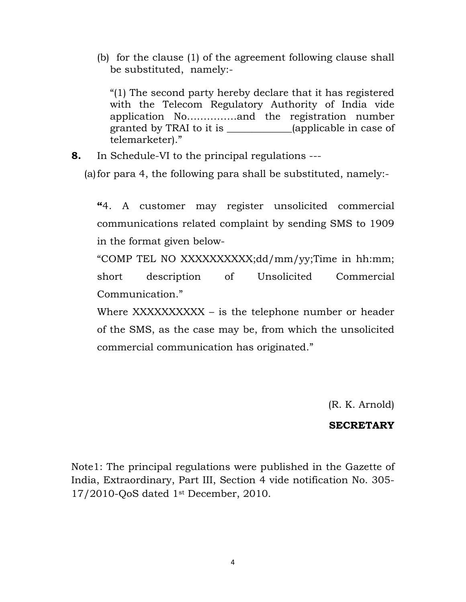(b) for the clause (1) of the agreement following clause shall be substituted, namely:-

"(1) The second party hereby declare that it has registered with the Telecom Regulatory Authority of India vide application No……………and the registration number granted by TRAI to it is \_\_\_\_\_\_\_\_\_\_\_\_\_(applicable in case of telemarketer)."

**8.** In Schedule-VI to the principal regulations ---

(a)for para 4, the following para shall be substituted, namely:-

**"**4. A customer may register unsolicited commercial communications related complaint by sending SMS to 1909 in the format given below-

"COMP TEL NO XXXXXXXXXX;dd/mm/yy;Time in hh:mm; short description of Unsolicited Commercial Communication."

Where XXXXXXXXXX – is the telephone number or header of the SMS, as the case may be, from which the unsolicited commercial communication has originated."

(R. K. Arnold)

#### **SECRETARY**

Note1: The principal regulations were published in the Gazette of India, Extraordinary, Part III, Section 4 vide notification No. 305- 17/2010-QoS dated 1st December, 2010.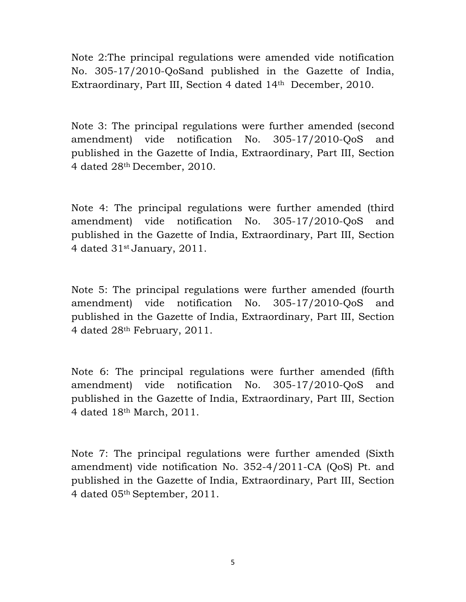Note 2:The principal regulations were amended vide notification No. 305-17/2010-QoSand published in the Gazette of India, Extraordinary, Part III, Section 4 dated 14th December, 2010.

Note 3: The principal regulations were further amended (second amendment) vide notification No. 305-17/2010-QoS and published in the Gazette of India, Extraordinary, Part III, Section 4 dated 28th December, 2010.

Note 4: The principal regulations were further amended (third amendment) vide notification No. 305-17/2010-QoS and published in the Gazette of India, Extraordinary, Part III, Section 4 dated 31st January, 2011.

Note 5: The principal regulations were further amended (fourth amendment) vide notification No. 305-17/2010-QoS and published in the Gazette of India, Extraordinary, Part III, Section 4 dated 28th February, 2011.

Note 6: The principal regulations were further amended (fifth amendment) vide notification No. 305-17/2010-QoS and published in the Gazette of India, Extraordinary, Part III, Section 4 dated 18th March, 2011.

Note 7: The principal regulations were further amended (Sixth amendment) vide notification No. 352-4/2011-CA (QoS) Pt. and published in the Gazette of India, Extraordinary, Part III, Section 4 dated 05th September, 2011.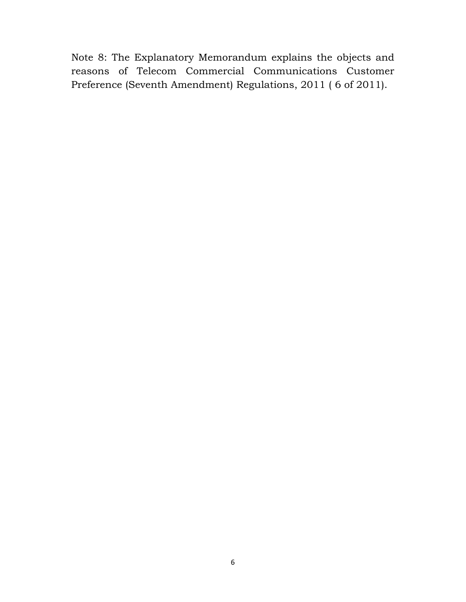Note 8: The Explanatory Memorandum explains the objects and reasons of Telecom Commercial Communications Customer Preference (Seventh Amendment) Regulations, 2011 ( 6 of 2011).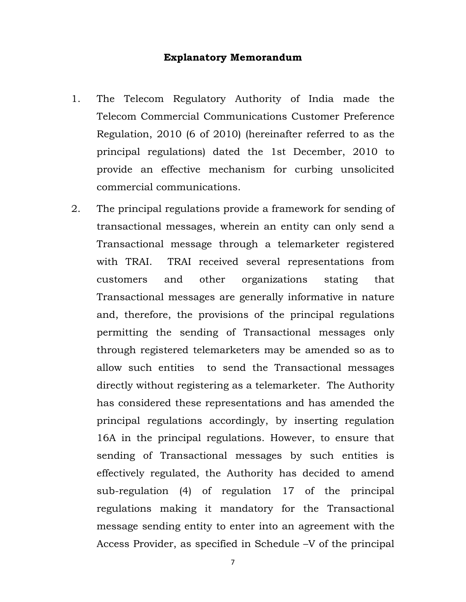#### **Explanatory Memorandum**

- 1. The Telecom Regulatory Authority of India made the Telecom Commercial Communications Customer Preference Regulation, 2010 (6 of 2010) (hereinafter referred to as the principal regulations) dated the 1st December, 2010 to provide an effective mechanism for curbing unsolicited commercial communications.
- 2. The principal regulations provide a framework for sending of transactional messages, wherein an entity can only send a Transactional message through a telemarketer registered with TRAI. TRAI received several representations from customers and other organizations stating that Transactional messages are generally informative in nature and, therefore, the provisions of the principal regulations permitting the sending of Transactional messages only through registered telemarketers may be amended so as to allow such entities to send the Transactional messages directly without registering as a telemarketer. The Authority has considered these representations and has amended the principal regulations accordingly, by inserting regulation 16A in the principal regulations. However, to ensure that sending of Transactional messages by such entities is effectively regulated, the Authority has decided to amend sub-regulation (4) of regulation 17 of the principal regulations making it mandatory for the Transactional message sending entity to enter into an agreement with the Access Provider, as specified in Schedule –V of the principal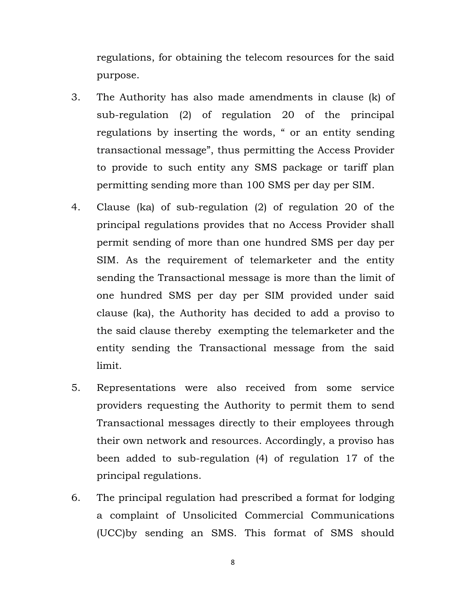regulations, for obtaining the telecom resources for the said purpose.

- 3. The Authority has also made amendments in clause (k) of sub-regulation (2) of regulation 20 of the principal regulations by inserting the words, " or an entity sending transactional message", thus permitting the Access Provider to provide to such entity any SMS package or tariff plan permitting sending more than 100 SMS per day per SIM.
- 4. Clause (ka) of sub-regulation (2) of regulation 20 of the principal regulations provides that no Access Provider shall permit sending of more than one hundred SMS per day per SIM. As the requirement of telemarketer and the entity sending the Transactional message is more than the limit of one hundred SMS per day per SIM provided under said clause (ka), the Authority has decided to add a proviso to the said clause thereby exempting the telemarketer and the entity sending the Transactional message from the said limit.
- 5. Representations were also received from some service providers requesting the Authority to permit them to send Transactional messages directly to their employees through their own network and resources. Accordingly, a proviso has been added to sub-regulation (4) of regulation 17 of the principal regulations.
- 6. The principal regulation had prescribed a format for lodging a complaint of Unsolicited Commercial Communications (UCC)by sending an SMS. This format of SMS should

8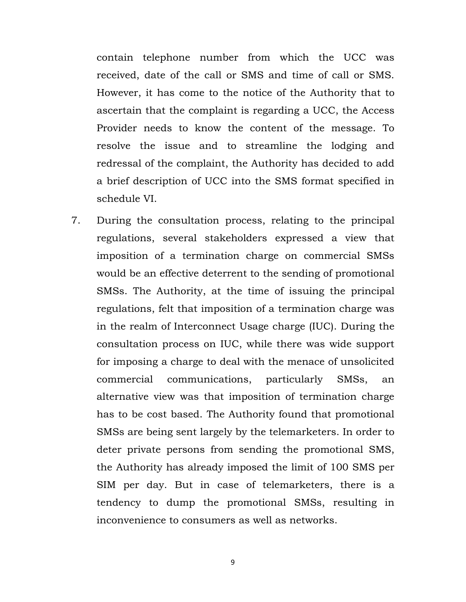contain telephone number from which the UCC was received, date of the call or SMS and time of call or SMS. However, it has come to the notice of the Authority that to ascertain that the complaint is regarding a UCC, the Access Provider needs to know the content of the message. To resolve the issue and to streamline the lodging and redressal of the complaint, the Authority has decided to add a brief description of UCC into the SMS format specified in schedule VI.

7. During the consultation process, relating to the principal regulations, several stakeholders expressed a view that imposition of a termination charge on commercial SMSs would be an effective deterrent to the sending of promotional SMSs. The Authority, at the time of issuing the principal regulations, felt that imposition of a termination charge was in the realm of Interconnect Usage charge (IUC). During the consultation process on IUC, while there was wide support for imposing a charge to deal with the menace of unsolicited commercial communications, particularly SMSs, an alternative view was that imposition of termination charge has to be cost based. The Authority found that promotional SMSs are being sent largely by the telemarketers. In order to deter private persons from sending the promotional SMS, the Authority has already imposed the limit of 100 SMS per SIM per day. But in case of telemarketers, there is a tendency to dump the promotional SMSs, resulting in inconvenience to consumers as well as networks.

9